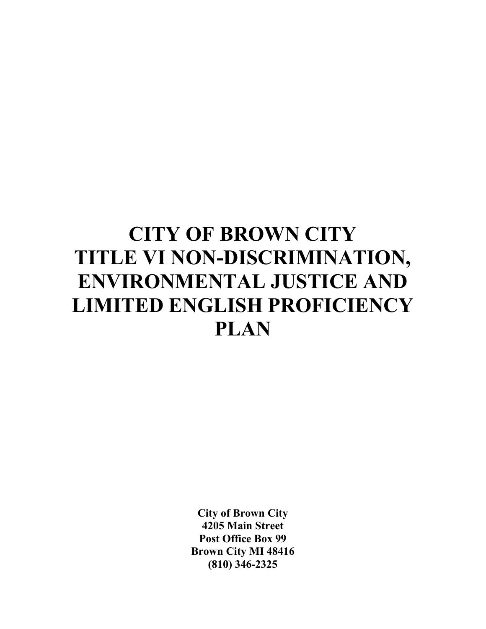# **CITY OF BROWN CITY TITLE VI NON-DISCRIMINATION, ENVIRONMENTAL JUSTICE AND LIMITED ENGLISH PROFICIENCY PLAN**

**City of Brown City 4205 Main Street Post Office Box 99 Brown City MI 48416 (810) 346-2325**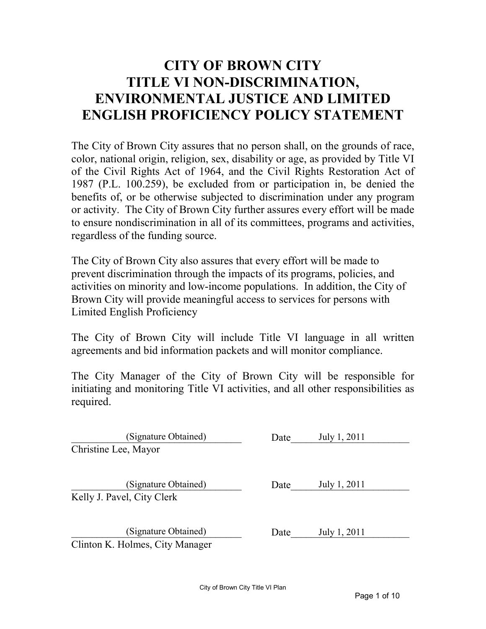# **CITY OF BROWN CITY TITLE VI NON-DISCRIMINATION. ENVIRONMENTAL JUSTICE AND LIMITED ENGLISH PROFICIENCY POLICY STATEMENT**

The City of Brown City assures that no person shall, on the grounds of race, color, national origin, religion, sex, disability or age, as provided by Title VI of the Civil Rights Act of 1964, and the Civil Rights Restoration Act of 1987 (P.L. 100.259), be excluded from or participation in, be denied the benefits of, or be otherwise subjected to discrimination under any program or activity. The City of Brown City further assures every effort will be made to ensure nondiscrimination in all of its committees, programs and activities, regardless of the funding source.

The City of Brown City also assures that every effort will be made to prevent discrimination through the impacts of its programs, policies, and activities on minority and low-income populations. In addition, the City of Brown City will provide meaningful access to services for persons with Limited English Proficiency

The City of Brown City will include Title VI language in all written agreements and bid information packets and will monitor compliance.

The City Manager of the City of Brown City will be responsible for initiating and monitoring Title VI activities, and all other responsibilities as required.

| (Signature Obtained)            | Date | July 1, 2011 |  |
|---------------------------------|------|--------------|--|
| Christine Lee, Mayor            |      |              |  |
|                                 |      |              |  |
| (Signature Obtained)            | Date | July 1, 2011 |  |
| Kelly J. Pavel, City Clerk      |      |              |  |
|                                 |      |              |  |
| (Signature Obtained)            | Date | July 1, 2011 |  |
| Clinton K. Holmes, City Manager |      |              |  |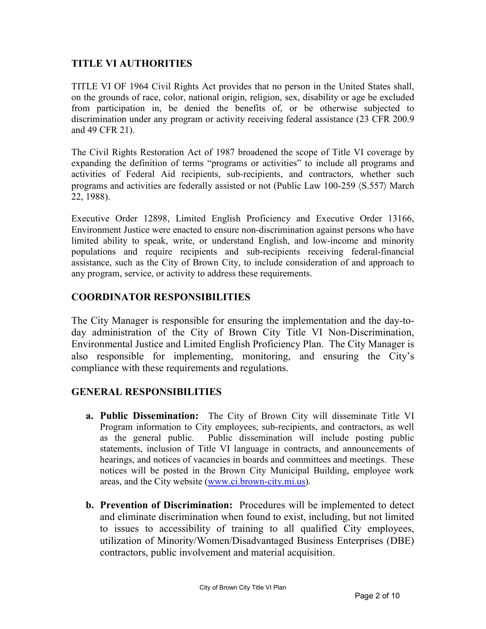## **TITLE VI AUTHORITIES**

TITLE VI OF 1964 Civil Rights Act provides that no person in the United States shall, on the grounds of race, color, national origin, religion, sex, disability or age be excluded from participation in, be denied the benefits of, or be otherwise subjected to discrimination under any program or activity receiving federal assistance (23 CFR 200.9 and 49 CFR 21).

The Civil Rights Restoration Act of 1987 broadened the scope of Title VI coverage by expanding the definition of terms "programs or activities" to include all programs and activities of Federal Aid recipients, sub-recipients, and contractors, whether such programs and activities are federally assisted or not (Public Law 100-259 〈S.557〉 March 22, 1988).

Executive Order 12898, Limited English Proficiency and Executive Order 13166, Environment Justice were enacted to ensure non-discrimination against persons who have limited ability to speak, write, or understand English, and low-income and minority populations and require recipients and sub-recipients receiving federal-financial assistance, such as the City of Brown City, to include consideration of and approach to any program, service, or activity to address these requirements.

### **COORDIATOR RESPOSIBILITIES**

The City Manager is responsible for ensuring the implementation and the day-today administration of the City of Brown City Title VI Non-Discrimination, Environmental Justice and Limited English Proficiency Plan. The City Manager is also responsible for implementing, monitoring, and ensuring the City's compliance with these requirements and regulations.

### **GENERAL RESPONSIBILITIES**

- **a. Public Dissemination:** The City of Brown City will disseminate Title VI Program information to City employees, sub-recipients, and contractors, as well as the general public. Public dissemination will include posting public statements, inclusion of Title VI language in contracts, and announcements of hearings, and notices of vacancies in boards and committees and meetings. These notices will be posted in the Brown City Municipal Building, employee work areas, and the City website (www.ci.brown-city.mi.us).
- **b. Prevention of Discrimination:** Procedures will be implemented to detect and eliminate discrimination when found to exist, including, but not limited to issues to accessibility of training to all qualified City employees, utilization of Minority/Women/Disadvantaged Business Enterprises (DBE) contractors, public involvement and material acquisition.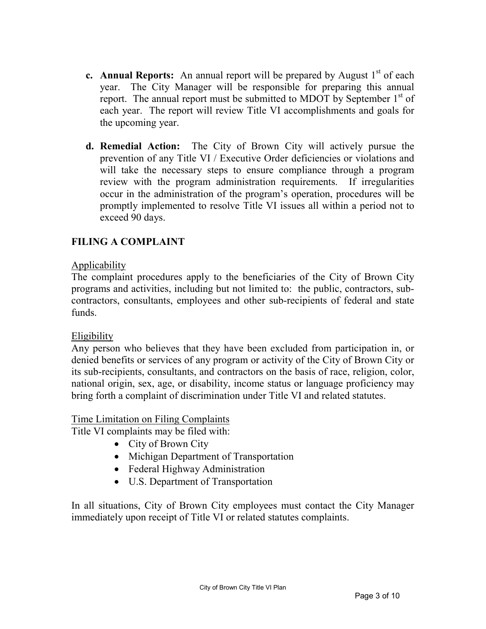- **c. Annual Reports:** An annual report will be prepared by August 1<sup>st</sup> of each year. The City Manager will be responsible for preparing this annual report. The annual report must be submitted to MDOT by September  $1<sup>st</sup>$  of each year. The report will review Title VI accomplishments and goals for the upcoming year.
- **d. Remedial Action:** The City of Brown City will actively pursue the prevention of any Title VI / Executive Order deficiencies or violations and will take the necessary steps to ensure compliance through a program review with the program administration requirements. If irregularities occur in the administration of the program's operation, procedures will be promptly implemented to resolve Title VI issues all within a period not to exceed 90 days.

# **FILIG A COMPLAIT**

### Applicability

The complaint procedures apply to the beneficiaries of the City of Brown City programs and activities, including but not limited to: the public, contractors, subcontractors, consultants, employees and other sub-recipients of federal and state funds.

### Eligibility

Any person who believes that they have been excluded from participation in, or denied benefits or services of any program or activity of the City of Brown City or its sub-recipients, consultants, and contractors on the basis of race, religion, color, national origin, sex, age, or disability, income status or language proficiency may bring forth a complaint of discrimination under Title VI and related statutes.

### Time Limitation on Filing Complaints

Title VI complaints may be filed with:

- City of Brown City
- Michigan Department of Transportation
- Federal Highway Administration
- U.S. Department of Transportation

In all situations, City of Brown City employees must contact the City Manager immediately upon receipt of Title VI or related statutes complaints.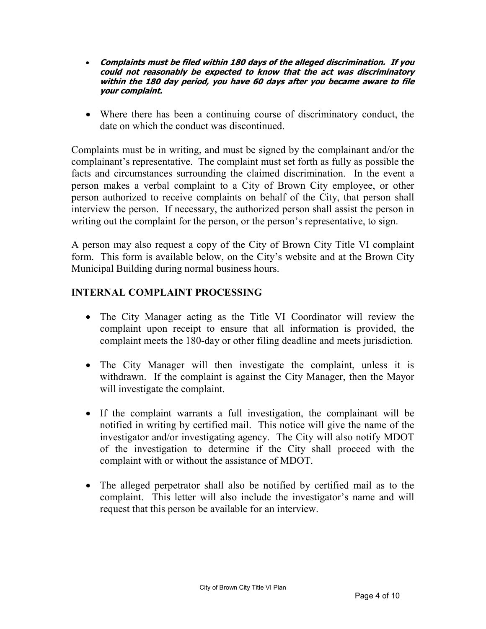- **Complaints must be filed within 180 days of the alleged discrimination. If you could not reasonably be expected to know that the act was discriminatory within the 180 day period, you have 60 days after you became aware to file your complaint.**
- Where there has been a continuing course of discriminatory conduct, the date on which the conduct was discontinued.

Complaints must be in writing, and must be signed by the complainant and/or the complainant's representative. The complaint must set forth as fully as possible the facts and circumstances surrounding the claimed discrimination. In the event a person makes a verbal complaint to a City of Brown City employee, or other person authorized to receive complaints on behalf of the City, that person shall interview the person. If necessary, the authorized person shall assist the person in writing out the complaint for the person, or the person's representative, to sign.

A person may also request a copy of the City of Brown City Title VI complaint form. This form is available below, on the City's website and at the Brown City Municipal Building during normal business hours.

# **INTERNAL COMPLAINT PROCESSING**

- The City Manager acting as the Title VI Coordinator will review the complaint upon receipt to ensure that all information is provided, the complaint meets the 180-day or other filing deadline and meets jurisdiction.
- The City Manager will then investigate the complaint, unless it is withdrawn. If the complaint is against the City Manager, then the Mayor will investigate the complaint.
- If the complaint warrants a full investigation, the complainant will be notified in writing by certified mail. This notice will give the name of the investigator and/or investigating agency. The City will also notify MDOT of the investigation to determine if the City shall proceed with the complaint with or without the assistance of MDOT.
- The alleged perpetrator shall also be notified by certified mail as to the complaint. This letter will also include the investigator's name and will request that this person be available for an interview.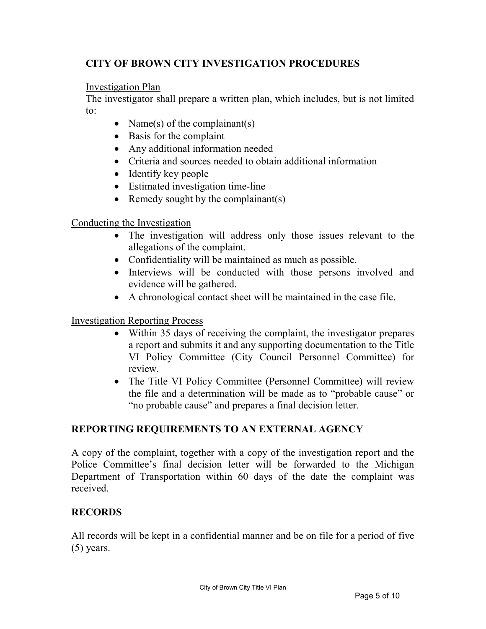# **CITY OF BROWN CITY INVESTIGATION PROCEDURES**

Investigation Plan

The investigator shall prepare a written plan, which includes, but is not limited to:

- Name(s) of the complainant(s)
- Basis for the complaint
- Any additional information needed
- Criteria and sources needed to obtain additional information
- Identify key people
- Estimated investigation time-line
- Remedy sought by the complainant(s)

Conducting the Investigation

- The investigation will address only those issues relevant to the allegations of the complaint.
- Confidentiality will be maintained as much as possible.
- Interviews will be conducted with those persons involved and evidence will be gathered.
- A chronological contact sheet will be maintained in the case file.

### Investigation Reporting Process

- Within 35 days of receiving the complaint, the investigator prepares a report and submits it and any supporting documentation to the Title VI Policy Committee (City Council Personnel Committee) for review.
- The Title VI Policy Committee (Personnel Committee) will review the file and a determination will be made as to "probable cause" or "no probable cause" and prepares a final decision letter.

# **REPORTING REQUIREMENTS TO AN EXTERNAL AGENCY**

A copy of the complaint, together with a copy of the investigation report and the Police Committee's final decision letter will be forwarded to the Michigan Department of Transportation within 60 days of the date the complaint was received.

# **RECORDS**

All records will be kept in a confidential manner and be on file for a period of five (5) years.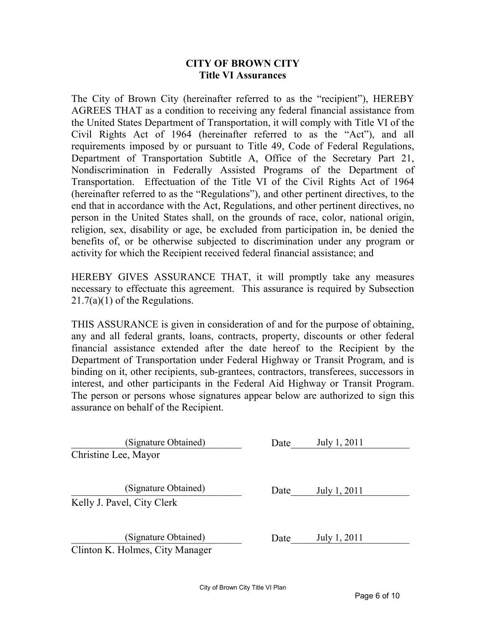#### **CITY OF BROW CITY Title VI Assurances**

The City of Brown City (hereinafter referred to as the "recipient"), HEREBY AGREES THAT as a condition to receiving any federal financial assistance from the United States Department of Transportation, it will comply with Title VI of the Civil Rights Act of 1964 (hereinafter referred to as the "Act"), and all requirements imposed by or pursuant to Title 49, Code of Federal Regulations, Department of Transportation Subtitle A, Office of the Secretary Part 21, Nondiscrimination in Federally Assisted Programs of the Department of Transportation. Effectuation of the Title VI of the Civil Rights Act of 1964 (hereinafter referred to as the "Regulations"), and other pertinent directives, to the end that in accordance with the Act, Regulations, and other pertinent directives, no person in the United States shall, on the grounds of race, color, national origin, religion, sex, disability or age, be excluded from participation in, be denied the benefits of, or be otherwise subjected to discrimination under any program or activity for which the Recipient received federal financial assistance; and

HEREBY GIVES ASSURANCE THAT, it will promptly take any measures necessary to effectuate this agreement. This assurance is required by Subsection  $21.7(a)(1)$  of the Regulations.

THIS ASSURANCE is given in consideration of and for the purpose of obtaining, any and all federal grants, loans, contracts, property, discounts or other federal financial assistance extended after the date hereof to the Recipient by the Department of Transportation under Federal Highway or Transit Program, and is binding on it, other recipients, sub-grantees, contractors, transferees, successors in interest, and other participants in the Federal Aid Highway or Transit Program. The person or persons whose signatures appear below are authorized to sign this assurance on behalf of the Recipient.

| (Signature Obtained)            | Date | July 1, 2011 |
|---------------------------------|------|--------------|
| Christine Lee, Mayor            |      |              |
|                                 |      |              |
|                                 |      |              |
| (Signature Obtained)            | Date | July 1, 2011 |
| Kelly J. Pavel, City Clerk      |      |              |
|                                 |      |              |
|                                 |      |              |
| (Signature Obtained)            | Date | July 1, 2011 |
| Clinton K. Holmes, City Manager |      |              |
|                                 |      |              |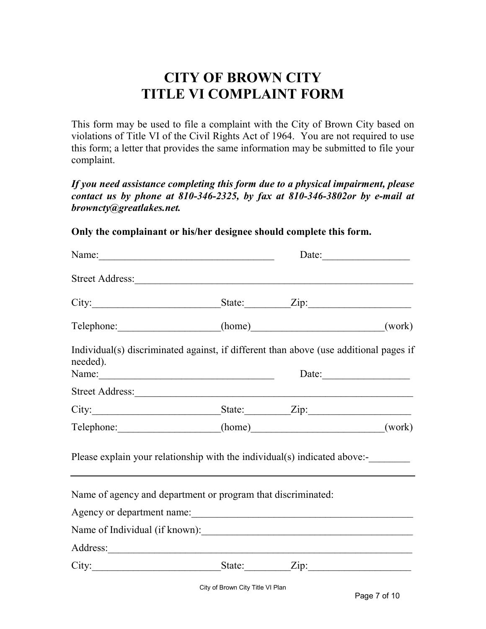# **CITY OF BROWN CITY TITLE VI COMPLAIT FORM**

This form may be used to file a complaint with the City of Brown City based on violations of Title VI of the Civil Rights Act of 1964. You are not required to use this form; a letter that provides the same information may be submitted to file your complaint.

*If you need assistance completing this form due to a physical impairment, please contact us by phone at 810-346-2325, by fax at 810-346-3802or by e-mail at browncty@greatlakes.net.* 

**Only the complainant or his/her designee should complete this form.** 

| Name:<br>Date:                                                                                                                                                                                                                                                                         |                                                                                                                                                                                                                                      |
|----------------------------------------------------------------------------------------------------------------------------------------------------------------------------------------------------------------------------------------------------------------------------------------|--------------------------------------------------------------------------------------------------------------------------------------------------------------------------------------------------------------------------------------|
|                                                                                                                                                                                                                                                                                        |                                                                                                                                                                                                                                      |
|                                                                                                                                                                                                                                                                                        | City: State: Zip: Zip:                                                                                                                                                                                                               |
|                                                                                                                                                                                                                                                                                        | Telephone: (home) (work)                                                                                                                                                                                                             |
|                                                                                                                                                                                                                                                                                        | Individual(s) discriminated against, if different than above (use additional pages if                                                                                                                                                |
| Name: $\frac{1}{2}$ Name: $\frac{1}{2}$ Name: $\frac{1}{2}$ Name: $\frac{1}{2}$ Name: $\frac{1}{2}$ Name: $\frac{1}{2}$ Name: $\frac{1}{2}$ Name: $\frac{1}{2}$ Name: $\frac{1}{2}$ Name: $\frac{1}{2}$ Name: $\frac{1}{2}$ Name: $\frac{1}{2}$ Name: $\frac{1}{2}$ Name: $\frac{1}{2$ | Date:                                                                                                                                                                                                                                |
|                                                                                                                                                                                                                                                                                        |                                                                                                                                                                                                                                      |
|                                                                                                                                                                                                                                                                                        | City: State: Zip: Zip:                                                                                                                                                                                                               |
|                                                                                                                                                                                                                                                                                        | Telephone: (home) (work)                                                                                                                                                                                                             |
|                                                                                                                                                                                                                                                                                        | Please explain your relationship with the individual(s) indicated above:-                                                                                                                                                            |
| Name of agency and department or program that discriminated:                                                                                                                                                                                                                           |                                                                                                                                                                                                                                      |
|                                                                                                                                                                                                                                                                                        |                                                                                                                                                                                                                                      |
|                                                                                                                                                                                                                                                                                        | Name of Individual (if known):                                                                                                                                                                                                       |
|                                                                                                                                                                                                                                                                                        | Address: <u>and the second contract of the second contract of the second contract of the second contract of the second contract of the second contract of the second contract of the second contract of the second contract of t</u> |
|                                                                                                                                                                                                                                                                                        | City: State: Zip:                                                                                                                                                                                                                    |
|                                                                                                                                                                                                                                                                                        | Street Address:                                                                                                                                                                                                                      |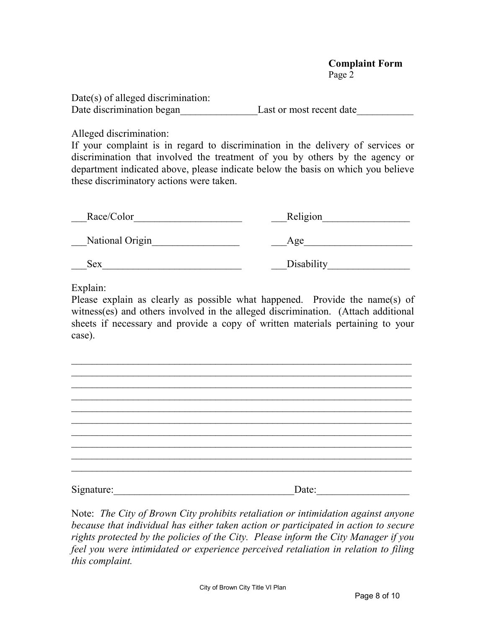#### **Complaint Form**  Page 2

Date(s) of alleged discrimination: Date discrimination began Last or most recent date

Alleged discrimination:

If your complaint is in regard to discrimination in the delivery of services or discrimination that involved the treatment of you by others by the agency or department indicated above, please indicate below the basis on which you believe these discriminatory actions were taken.

| Race/Color      | Religion   |
|-----------------|------------|
| National Origin | Age        |
| Sex             | Disability |

Explain:

Please explain as clearly as possible what happened. Provide the name(s) of witness(es) and others involved in the alleged discrimination. (Attach additional sheets if necessary and provide a copy of written materials pertaining to your case).

 $\_$  , and the set of the set of the set of the set of the set of the set of the set of the set of the set of the set of the set of the set of the set of the set of the set of the set of the set of the set of the set of th

\_\_\_\_\_\_\_\_\_\_\_\_\_\_\_\_\_\_\_\_\_\_\_\_\_\_\_\_\_\_\_\_\_\_\_\_\_\_\_\_\_\_\_\_\_\_\_\_\_\_\_\_\_\_\_\_\_\_\_\_\_\_\_\_\_\_ \_\_\_\_\_\_\_\_\_\_\_\_\_\_\_\_\_\_\_\_\_\_\_\_\_\_\_\_\_\_\_\_\_\_\_\_\_\_\_\_\_\_\_\_\_\_\_\_\_\_\_\_\_\_\_\_\_\_\_\_\_\_\_\_\_\_  $\_$  , and the set of the set of the set of the set of the set of the set of the set of the set of the set of the set of the set of the set of the set of the set of the set of the set of the set of the set of the set of th  $\_$  , and the set of the set of the set of the set of the set of the set of the set of the set of the set of the set of the set of the set of the set of the set of the set of the set of the set of the set of the set of th  $\_$  , and the set of the set of the set of the set of the set of the set of the set of the set of the set of the set of the set of the set of the set of the set of the set of the set of the set of the set of the set of th  $\_$  , and the set of the set of the set of the set of the set of the set of the set of the set of the set of the set of the set of the set of the set of the set of the set of the set of the set of the set of the set of th  $\_$  , and the set of the set of the set of the set of the set of the set of the set of the set of the set of the set of the set of the set of the set of the set of the set of the set of the set of the set of the set of th \_\_\_\_\_\_\_\_\_\_\_\_\_\_\_\_\_\_\_\_\_\_\_\_\_\_\_\_\_\_\_\_\_\_\_\_\_\_\_\_\_\_\_\_\_\_\_\_\_\_\_\_\_\_\_\_\_\_\_\_\_\_\_\_\_\_  $\_$  , and the contribution of the contribution of  $\mathcal{L}_\mathcal{A}$  , and the contribution of  $\mathcal{L}_\mathcal{A}$ Signature:\_\_\_\_\_\_\_\_\_\_\_\_\_\_\_\_\_\_\_\_\_\_\_\_\_\_\_\_\_\_\_\_\_\_\_Date:\_\_\_\_\_\_\_\_\_\_\_\_\_\_\_\_\_\_

Note: *The City of Brown City prohibits retaliation or intimidation against anyone because that individual has either taken action or participated in action to secure rights protected by the policies of the City. Please inform the City Manager if you feel you were intimidated or experience perceived retaliation in relation to filing this complaint.*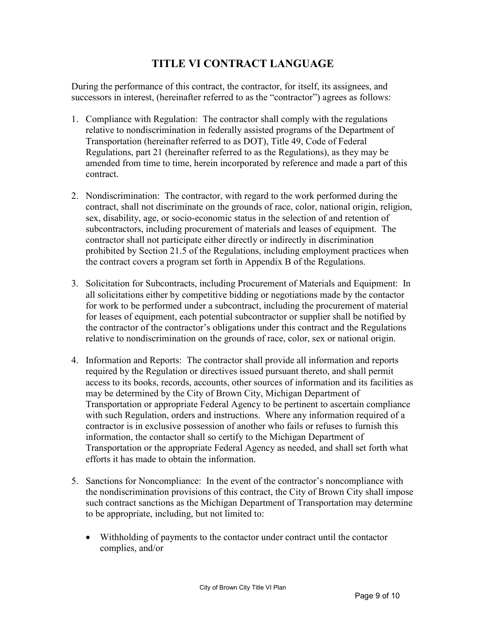# **TITLE VI CONTRACT LANGUAGE**

During the performance of this contract, the contractor, for itself, its assignees, and successors in interest, (hereinafter referred to as the "contractor") agrees as follows:

- 1. Compliance with Regulation: The contractor shall comply with the regulations relative to nondiscrimination in federally assisted programs of the Department of Transportation (hereinafter referred to as DOT), Title 49, Code of Federal Regulations, part 21 (hereinafter referred to as the Regulations), as they may be amended from time to time, herein incorporated by reference and made a part of this contract.
- 2. Nondiscrimination: The contractor, with regard to the work performed during the contract, shall not discriminate on the grounds of race, color, national origin, religion, sex, disability, age, or socio-economic status in the selection of and retention of subcontractors, including procurement of materials and leases of equipment. The contractor shall not participate either directly or indirectly in discrimination prohibited by Section 21.5 of the Regulations, including employment practices when the contract covers a program set forth in Appendix B of the Regulations.
- 3. Solicitation for Subcontracts, including Procurement of Materials and Equipment: In all solicitations either by competitive bidding or negotiations made by the contactor for work to be performed under a subcontract, including the procurement of material for leases of equipment, each potential subcontractor or supplier shall be notified by the contractor of the contractor's obligations under this contract and the Regulations relative to nondiscrimination on the grounds of race, color, sex or national origin.
- 4. Information and Reports: The contractor shall provide all information and reports required by the Regulation or directives issued pursuant thereto, and shall permit access to its books, records, accounts, other sources of information and its facilities as may be determined by the City of Brown City, Michigan Department of Transportation or appropriate Federal Agency to be pertinent to ascertain compliance with such Regulation, orders and instructions. Where any information required of a contractor is in exclusive possession of another who fails or refuses to furnish this information, the contactor shall so certify to the Michigan Department of Transportation or the appropriate Federal Agency as needed, and shall set forth what efforts it has made to obtain the information.
- 5. Sanctions for Noncompliance: In the event of the contractor's noncompliance with the nondiscrimination provisions of this contract, the City of Brown City shall impose such contract sanctions as the Michigan Department of Transportation may determine to be appropriate, including, but not limited to:
	- Withholding of payments to the contactor under contract until the contactor complies, and/or